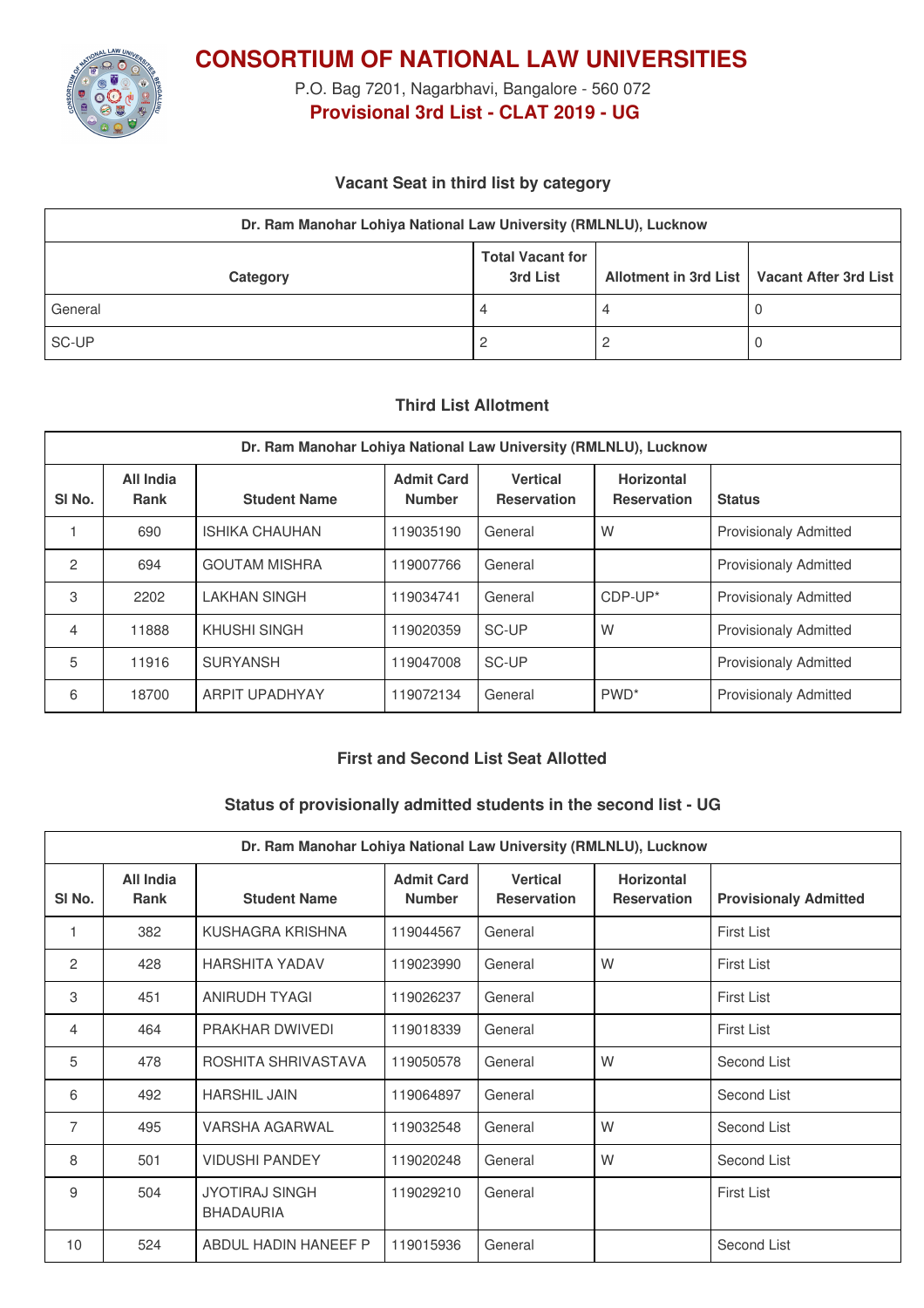

**CONSORTIUM OF NATIONAL LAW UNIVERSITIES**

P.O. Bag 7201, Nagarbhavi, Bangalore - 560 072 **Provisional 3rd List - CLAT 2019 - UG**

### **Vacant Seat in third list by category**

| Dr. Ram Manohar Lohiya National Law University (RMLNLU), Lucknow                                 |   |  |  |  |  |  |  |
|--------------------------------------------------------------------------------------------------|---|--|--|--|--|--|--|
| <b>Total Vacant for</b><br>Allotment in 3rd List   Vacant After 3rd List<br>3rd List<br>Category |   |  |  |  |  |  |  |
| General                                                                                          | 4 |  |  |  |  |  |  |
| SC-UP                                                                                            |   |  |  |  |  |  |  |

#### **Third List Allotment**

| Dr. Ram Manohar Lohiya National Law University (RMLNLU), Lucknow |                          |                       |                                    |                                       |                                         |                              |  |
|------------------------------------------------------------------|--------------------------|-----------------------|------------------------------------|---------------------------------------|-----------------------------------------|------------------------------|--|
| SI <sub>No.</sub>                                                | All India<br><b>Rank</b> | <b>Student Name</b>   | <b>Admit Card</b><br><b>Number</b> | <b>Vertical</b><br><b>Reservation</b> | <b>Horizontal</b><br><b>Reservation</b> | <b>Status</b>                |  |
|                                                                  | 690                      | <b>ISHIKA CHAUHAN</b> | 119035190                          | General                               | W                                       | <b>Provisionaly Admitted</b> |  |
| 2                                                                | 694                      | <b>GOUTAM MISHRA</b>  | 119007766                          | General                               |                                         | <b>Provisionaly Admitted</b> |  |
| 3                                                                | 2202                     | <b>LAKHAN SINGH</b>   | 119034741                          | General                               | $CDF-UP^*$                              | <b>Provisionaly Admitted</b> |  |
| 4                                                                | 11888                    | KHUSHI SINGH          | 119020359                          | SC-UP                                 | W                                       | <b>Provisionaly Admitted</b> |  |
| 5                                                                | 11916                    | <b>SURYANSH</b>       | 119047008                          | SC-UP                                 |                                         | <b>Provisionaly Admitted</b> |  |
| 6                                                                | 18700                    | <b>ARPIT UPADHYAY</b> | 119072134                          | General                               | PWD <sup>*</sup>                        | <b>Provisionaly Admitted</b> |  |

# **First and Second List Seat Allotted**

#### **Status of provisionally admitted students in the second list - UG**

| Dr. Ram Manohar Lohiya National Law University (RMLNLU), Lucknow |                          |                                           |                                    |                                       |                                         |                              |  |
|------------------------------------------------------------------|--------------------------|-------------------------------------------|------------------------------------|---------------------------------------|-----------------------------------------|------------------------------|--|
| SI <sub>No.</sub>                                                | All India<br><b>Rank</b> | <b>Student Name</b>                       | <b>Admit Card</b><br><b>Number</b> | <b>Vertical</b><br><b>Reservation</b> | <b>Horizontal</b><br><b>Reservation</b> | <b>Provisionaly Admitted</b> |  |
| 1                                                                | 382                      | KUSHAGRA KRISHNA                          | 119044567                          | General                               |                                         | <b>First List</b>            |  |
| 2                                                                | 428                      | <b>HARSHITA YADAV</b>                     | 119023990                          | General                               | W                                       | <b>First List</b>            |  |
| 3                                                                | 451                      | ANIRUDH TYAGI                             | 119026237                          | General                               |                                         | <b>First List</b>            |  |
| 4                                                                | 464                      | <b>PRAKHAR DWIVEDI</b>                    | 119018339                          | General                               |                                         | <b>First List</b>            |  |
| 5                                                                | 478                      | ROSHITA SHRIVASTAVA                       | 119050578                          | General                               | W                                       | Second List                  |  |
| 6                                                                | 492                      | <b>HARSHIL JAIN</b>                       | 119064897                          | General                               |                                         | Second List                  |  |
| 7                                                                | 495                      | VARSHA AGARWAL                            | 119032548                          | General                               | W                                       | Second List                  |  |
| 8                                                                | 501                      | <b>VIDUSHI PANDEY</b>                     | 119020248                          | General                               | W                                       | Second List                  |  |
| 9                                                                | 504                      | <b>JYOTIRAJ SINGH</b><br><b>BHADAURIA</b> | 119029210                          | General                               |                                         | <b>First List</b>            |  |
| 10                                                               | 524                      | ABDUL HADIN HANEEF P                      | 119015936                          | General                               |                                         | Second List                  |  |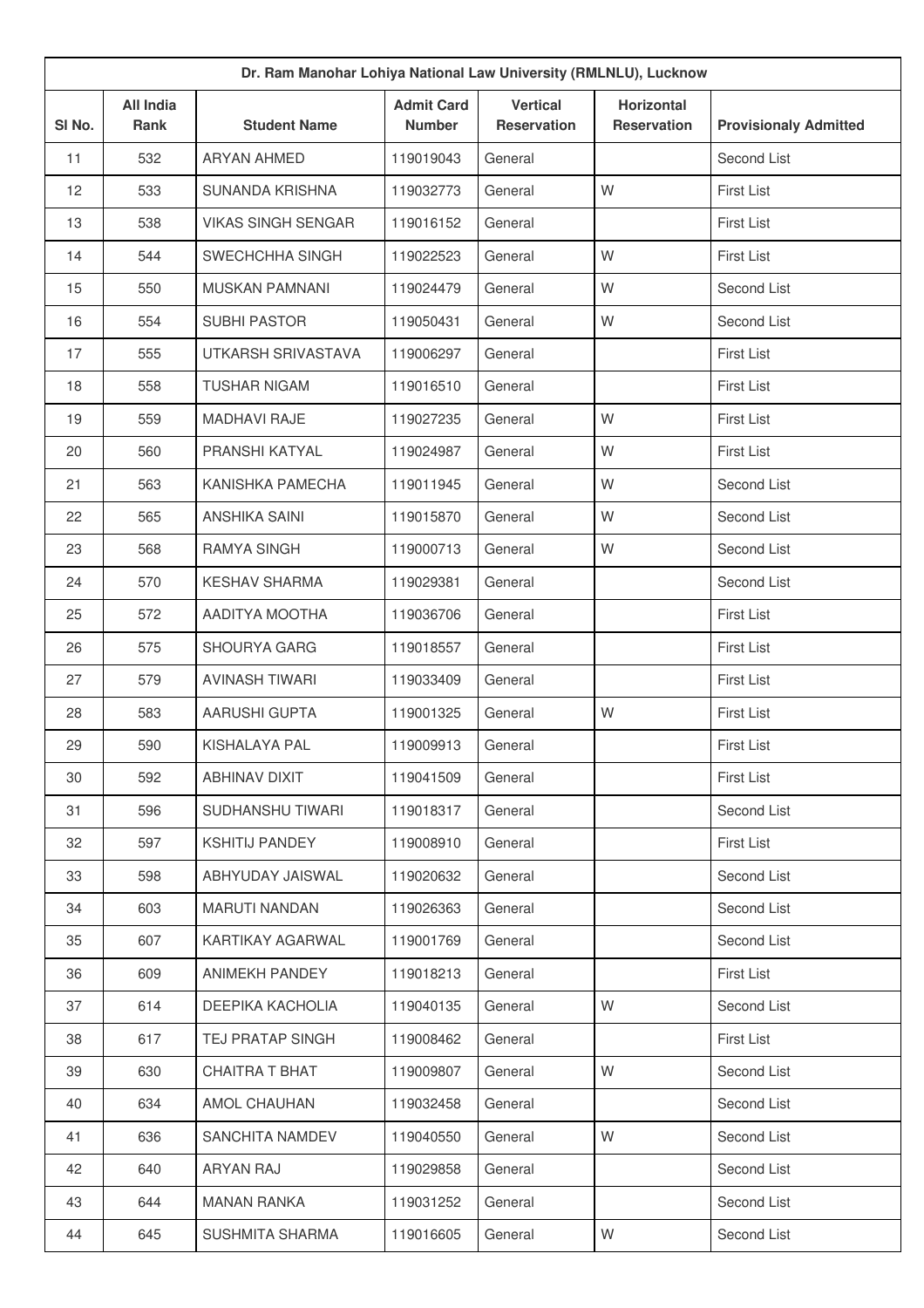| Dr. Ram Manohar Lohiya National Law University (RMLNLU), Lucknow |                          |                           |                                    |                                       |                                         |                              |  |
|------------------------------------------------------------------|--------------------------|---------------------------|------------------------------------|---------------------------------------|-----------------------------------------|------------------------------|--|
| SI No.                                                           | <b>All India</b><br>Rank | <b>Student Name</b>       | <b>Admit Card</b><br><b>Number</b> | <b>Vertical</b><br><b>Reservation</b> | <b>Horizontal</b><br><b>Reservation</b> | <b>Provisionaly Admitted</b> |  |
| 11                                                               | 532                      | <b>ARYAN AHMED</b>        | 119019043                          | General                               |                                         | Second List                  |  |
| 12                                                               | 533                      | <b>SUNANDA KRISHNA</b>    | 119032773                          | General                               | W                                       | First List                   |  |
| 13                                                               | 538                      | <b>VIKAS SINGH SENGAR</b> | 119016152                          | General                               |                                         | <b>First List</b>            |  |
| 14                                                               | 544                      | SWECHCHHA SINGH           | 119022523                          | General                               | W                                       | <b>First List</b>            |  |
| 15                                                               | 550                      | MUSKAN PAMNANI            | 119024479                          | General                               | W                                       | Second List                  |  |
| 16                                                               | 554                      | <b>SUBHI PASTOR</b>       | 119050431                          | General                               | W                                       | Second List                  |  |
| 17                                                               | 555                      | UTKARSH SRIVASTAVA        | 119006297                          | General                               |                                         | <b>First List</b>            |  |
| 18                                                               | 558                      | <b>TUSHAR NIGAM</b>       | 119016510                          | General                               |                                         | <b>First List</b>            |  |
| 19                                                               | 559                      | <b>MADHAVI RAJE</b>       | 119027235                          | General                               | W                                       | First List                   |  |
| 20                                                               | 560                      | PRANSHI KATYAL            | 119024987                          | General                               | W                                       | First List                   |  |
| 21                                                               | 563                      | KANISHKA PAMECHA          | 119011945                          | General                               | W                                       | Second List                  |  |
| 22                                                               | 565                      | <b>ANSHIKA SAINI</b>      | 119015870                          | General                               | W                                       | Second List                  |  |
| 23                                                               | 568                      | RAMYA SINGH               | 119000713                          | General                               | W                                       | Second List                  |  |
| 24                                                               | 570                      | <b>KESHAV SHARMA</b>      | 119029381                          | General                               |                                         | Second List                  |  |
| 25                                                               | 572                      | AADITYA MOOTHA            | 119036706                          | General                               |                                         | <b>First List</b>            |  |
| 26                                                               | 575                      | SHOURYA GARG              | 119018557                          | General                               |                                         | <b>First List</b>            |  |
| 27                                                               | 579                      | <b>AVINASH TIWARI</b>     | 119033409                          | General                               |                                         | First List                   |  |
| 28                                                               | 583                      | <b>AARUSHI GUPTA</b>      | 119001325                          | General                               | W                                       | <b>First List</b>            |  |
| 29                                                               | 590                      | KISHALAYA PAL             | 119009913                          | General                               |                                         | <b>First List</b>            |  |
| 30                                                               | 592                      | ABHINAV DIXIT             | 119041509                          | General                               |                                         | First List                   |  |
| 31                                                               | 596                      | SUDHANSHU TIWARI          | 119018317                          | General                               |                                         | Second List                  |  |
| 32                                                               | 597                      | <b>KSHITIJ PANDEY</b>     | 119008910                          | General                               |                                         | First List                   |  |
| 33                                                               | 598                      | ABHYUDAY JAISWAL          | 119020632                          | General                               |                                         | Second List                  |  |
| 34                                                               | 603                      | <b>MARUTI NANDAN</b>      | 119026363                          | General                               |                                         | Second List                  |  |
| 35                                                               | 607                      | KARTIKAY AGARWAL          | 119001769                          | General                               |                                         | Second List                  |  |
| 36                                                               | 609                      | ANIMEKH PANDEY            | 119018213                          | General                               |                                         | First List                   |  |
| 37                                                               | 614                      | DEEPIKA KACHOLIA          | 119040135                          | General                               | W                                       | Second List                  |  |
| 38                                                               | 617                      | TEJ PRATAP SINGH          | 119008462                          | General                               |                                         | First List                   |  |
| 39                                                               | 630                      | <b>CHAITRA T BHAT</b>     | 119009807                          | General                               | W                                       | Second List                  |  |
| 40                                                               | 634                      | AMOL CHAUHAN              | 119032458                          | General                               |                                         | Second List                  |  |
| 41                                                               | 636                      | SANCHITA NAMDEV           | 119040550                          | General                               | W                                       | Second List                  |  |
| 42                                                               | 640                      | ARYAN RAJ                 | 119029858                          | General                               |                                         | Second List                  |  |
| 43                                                               | 644                      | <b>MANAN RANKA</b>        | 119031252                          | General                               |                                         | Second List                  |  |
| 44                                                               | 645                      | SUSHMITA SHARMA           | 119016605                          | General                               | W                                       | Second List                  |  |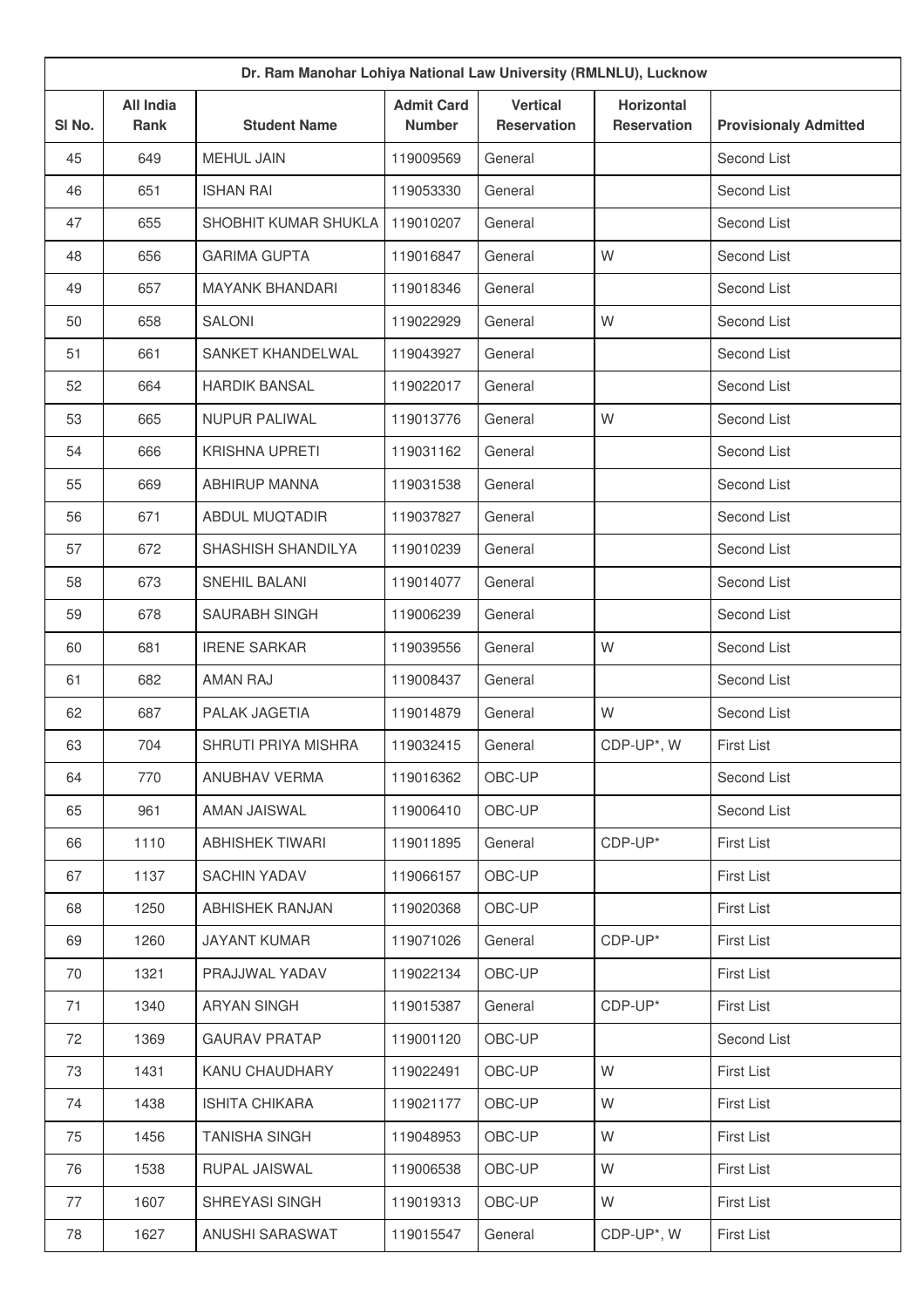| Dr. Ram Manohar Lohiya National Law University (RMLNLU), Lucknow |                          |                        |                                    |                                       |                                         |                              |  |
|------------------------------------------------------------------|--------------------------|------------------------|------------------------------------|---------------------------------------|-----------------------------------------|------------------------------|--|
| SI No.                                                           | <b>All India</b><br>Rank | <b>Student Name</b>    | <b>Admit Card</b><br><b>Number</b> | <b>Vertical</b><br><b>Reservation</b> | <b>Horizontal</b><br><b>Reservation</b> | <b>Provisionaly Admitted</b> |  |
| 45                                                               | 649                      | MEHUL JAIN             | 119009569                          | General                               |                                         | Second List                  |  |
| 46                                                               | 651                      | <b>ISHAN RAI</b>       | 119053330                          | General                               |                                         | Second List                  |  |
| 47                                                               | 655                      | SHOBHIT KUMAR SHUKLA   | 119010207                          | General                               |                                         | Second List                  |  |
| 48                                                               | 656                      | <b>GARIMA GUPTA</b>    | 119016847                          | General                               | W                                       | Second List                  |  |
| 49                                                               | 657                      | <b>MAYANK BHANDARI</b> | 119018346                          | General                               |                                         | Second List                  |  |
| 50                                                               | 658                      | <b>SALONI</b>          | 119022929                          | General                               | W                                       | Second List                  |  |
| 51                                                               | 661                      | SANKET KHANDELWAL      | 119043927                          | General                               |                                         | Second List                  |  |
| 52                                                               | 664                      | <b>HARDIK BANSAL</b>   | 119022017                          | General                               |                                         | Second List                  |  |
| 53                                                               | 665                      | <b>NUPUR PALIWAL</b>   | 119013776                          | General                               | W                                       | Second List                  |  |
| 54                                                               | 666                      | <b>KRISHNA UPRETI</b>  | 119031162                          | General                               |                                         | Second List                  |  |
| 55                                                               | 669                      | <b>ABHIRUP MANNA</b>   | 119031538                          | General                               |                                         | Second List                  |  |
| 56                                                               | 671                      | <b>ABDUL MUQTADIR</b>  | 119037827                          | General                               |                                         | Second List                  |  |
| 57                                                               | 672                      | SHASHISH SHANDILYA     | 119010239                          | General                               |                                         | Second List                  |  |
| 58                                                               | 673                      | SNEHIL BALANI          | 119014077                          | General                               |                                         | Second List                  |  |
| 59                                                               | 678                      | SAURABH SINGH          | 119006239                          | General                               |                                         | Second List                  |  |
| 60                                                               | 681                      | <b>IRENE SARKAR</b>    | 119039556                          | General                               | W                                       | Second List                  |  |
| 61                                                               | 682                      | <b>AMAN RAJ</b>        | 119008437                          | General                               |                                         | Second List                  |  |
| 62                                                               | 687                      | PALAK JAGETIA          | 119014879                          | General                               | W                                       | Second List                  |  |
| 63                                                               | 704                      | SHRUTI PRIYA MISHRA    | 119032415                          | General                               | CDP-UP*, W                              | <b>First List</b>            |  |
| 64                                                               | 770                      | ANUBHAV VERMA          | 119016362                          | OBC-UP                                |                                         | Second List                  |  |
| 65                                                               | 961                      | AMAN JAISWAL           | 119006410                          | OBC-UP                                |                                         | Second List                  |  |
| 66                                                               | 1110                     | <b>ABHISHEK TIWARI</b> | 119011895                          | General                               | CDP-UP*                                 | First List                   |  |
| 67                                                               | 1137                     | <b>SACHIN YADAV</b>    | 119066157                          | OBC-UP                                |                                         | First List                   |  |
| 68                                                               | 1250                     | <b>ABHISHEK RANJAN</b> | 119020368                          | OBC-UP                                |                                         | First List                   |  |
| 69                                                               | 1260                     | <b>JAYANT KUMAR</b>    | 119071026                          | General                               | CDP-UP*                                 | First List                   |  |
| 70                                                               | 1321                     | PRAJJWAL YADAV         | 119022134                          | OBC-UP                                |                                         | First List                   |  |
| 71                                                               | 1340                     | ARYAN SINGH            | 119015387                          | General                               | CDP-UP*                                 | First List                   |  |
| 72                                                               | 1369                     | <b>GAURAV PRATAP</b>   | 119001120                          | OBC-UP                                |                                         | Second List                  |  |
| 73                                                               | 1431                     | KANU CHAUDHARY         | 119022491                          | OBC-UP                                | W                                       | First List                   |  |
| 74                                                               | 1438                     | <b>ISHITA CHIKARA</b>  | 119021177                          | OBC-UP                                | W                                       | First List                   |  |
| 75                                                               | 1456                     | <b>TANISHA SINGH</b>   | 119048953                          | OBC-UP                                | W                                       | First List                   |  |
| 76                                                               | 1538                     | RUPAL JAISWAL          | 119006538                          | OBC-UP                                | W                                       | First List                   |  |
| 77                                                               | 1607                     | SHREYASI SINGH         | 119019313                          | OBC-UP                                | W                                       | First List                   |  |
| 78                                                               | 1627                     | ANUSHI SARASWAT        | 119015547                          | General                               | CDP-UP*, W                              | First List                   |  |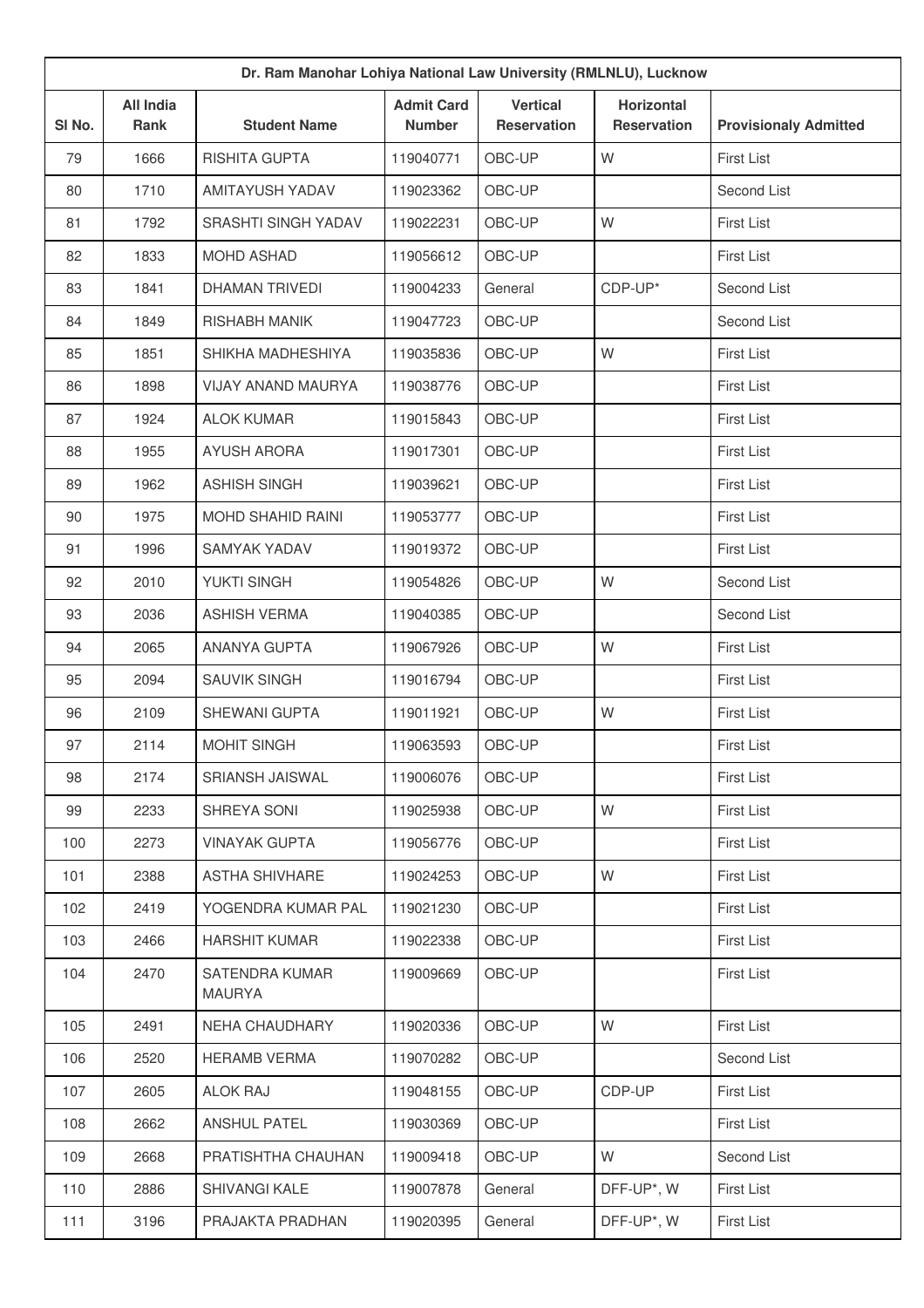|        | Dr. Ram Manohar Lohiya National Law University (RMLNLU), Lucknow |                                 |                                    |                                       |                                         |                              |  |  |
|--------|------------------------------------------------------------------|---------------------------------|------------------------------------|---------------------------------------|-----------------------------------------|------------------------------|--|--|
| SI No. | <b>All India</b><br>Rank                                         | <b>Student Name</b>             | <b>Admit Card</b><br><b>Number</b> | <b>Vertical</b><br><b>Reservation</b> | <b>Horizontal</b><br><b>Reservation</b> | <b>Provisionaly Admitted</b> |  |  |
| 79     | 1666                                                             | RISHITA GUPTA                   | 119040771                          | OBC-UP                                | W                                       | First List                   |  |  |
| 80     | 1710                                                             | <b>AMITAYUSH YADAV</b>          | 119023362                          | OBC-UP                                |                                         | Second List                  |  |  |
| 81     | 1792                                                             | SRASHTI SINGH YADAV             | 119022231                          | OBC-UP                                | W                                       | First List                   |  |  |
| 82     | 1833                                                             | <b>MOHD ASHAD</b>               | 119056612                          | OBC-UP                                |                                         | First List                   |  |  |
| 83     | 1841                                                             | DHAMAN TRIVEDI                  | 119004233                          | General                               | CDP-UP*                                 | Second List                  |  |  |
| 84     | 1849                                                             | RISHABH MANIK                   | 119047723                          | OBC-UP                                |                                         | Second List                  |  |  |
| 85     | 1851                                                             | SHIKHA MADHESHIYA               | 119035836                          | OBC-UP                                | W                                       | First List                   |  |  |
| 86     | 1898                                                             | <b>VIJAY ANAND MAURYA</b>       | 119038776                          | OBC-UP                                |                                         | First List                   |  |  |
| 87     | 1924                                                             | <b>ALOK KUMAR</b>               | 119015843                          | OBC-UP                                |                                         | <b>First List</b>            |  |  |
| 88     | 1955                                                             | <b>AYUSH ARORA</b>              | 119017301                          | OBC-UP                                |                                         | <b>First List</b>            |  |  |
| 89     | 1962                                                             | <b>ASHISH SINGH</b>             | 119039621                          | OBC-UP                                |                                         | First List                   |  |  |
| 90     | 1975                                                             | MOHD SHAHID RAINI               | 119053777                          | OBC-UP                                |                                         | First List                   |  |  |
| 91     | 1996                                                             | <b>SAMYAK YADAV</b>             | 119019372                          | OBC-UP                                |                                         | <b>First List</b>            |  |  |
| 92     | 2010                                                             | YUKTI SINGH                     | 119054826                          | OBC-UP                                | W                                       | Second List                  |  |  |
| 93     | 2036                                                             | <b>ASHISH VERMA</b>             | 119040385                          | OBC-UP                                |                                         | Second List                  |  |  |
| 94     | 2065                                                             | <b>ANANYA GUPTA</b>             | 119067926                          | OBC-UP                                | W                                       | First List                   |  |  |
| 95     | 2094                                                             | <b>SAUVIK SINGH</b>             | 119016794                          | OBC-UP                                |                                         | <b>First List</b>            |  |  |
| 96     | 2109                                                             | <b>SHEWANI GUPTA</b>            | 119011921                          | OBC-UP                                | W                                       | First List                   |  |  |
| 97     | 2114                                                             | <b>MOHIT SINGH</b>              | 119063593                          | OBC-UP                                |                                         | First List                   |  |  |
| 98     | 2174                                                             | <b>SRIANSH JAISWAL</b>          | 119006076                          | OBC-UP                                |                                         | <b>First List</b>            |  |  |
| 99     | 2233                                                             | SHREYA SONI                     | 119025938                          | OBC-UP                                | W                                       | First List                   |  |  |
| 100    | 2273                                                             | <b>VINAYAK GUPTA</b>            | 119056776                          | OBC-UP                                |                                         | <b>First List</b>            |  |  |
| 101    | 2388                                                             | <b>ASTHA SHIVHARE</b>           | 119024253                          | OBC-UP                                | W                                       | <b>First List</b>            |  |  |
| 102    | 2419                                                             | YOGENDRA KUMAR PAL              | 119021230                          | OBC-UP                                |                                         | <b>First List</b>            |  |  |
| 103    | 2466                                                             | <b>HARSHIT KUMAR</b>            | 119022338                          | OBC-UP                                |                                         | <b>First List</b>            |  |  |
| 104    | 2470                                                             | SATENDRA KUMAR<br><b>MAURYA</b> | 119009669                          | OBC-UP                                |                                         | <b>First List</b>            |  |  |
| 105    | 2491                                                             | NEHA CHAUDHARY                  | 119020336                          | OBC-UP                                | W                                       | First List                   |  |  |
| 106    | 2520                                                             | <b>HERAMB VERMA</b>             | 119070282                          | OBC-UP                                |                                         | Second List                  |  |  |
| 107    | 2605                                                             | <b>ALOK RAJ</b>                 | 119048155                          | OBC-UP                                | CDP-UP                                  | <b>First List</b>            |  |  |
| 108    | 2662                                                             | <b>ANSHUL PATEL</b>             | 119030369                          | OBC-UP                                |                                         | <b>First List</b>            |  |  |
| 109    | 2668                                                             | PRATISHTHA CHAUHAN              | 119009418                          | OBC-UP                                | W                                       | Second List                  |  |  |
| 110    | 2886                                                             | <b>SHIVANGI KALE</b>            | 119007878                          | General                               | DFF-UP*, W                              | First List                   |  |  |
| $111$  | 3196                                                             | PRAJAKTA PRADHAN                | 119020395                          | General                               | DFF-UP*, W                              | First List                   |  |  |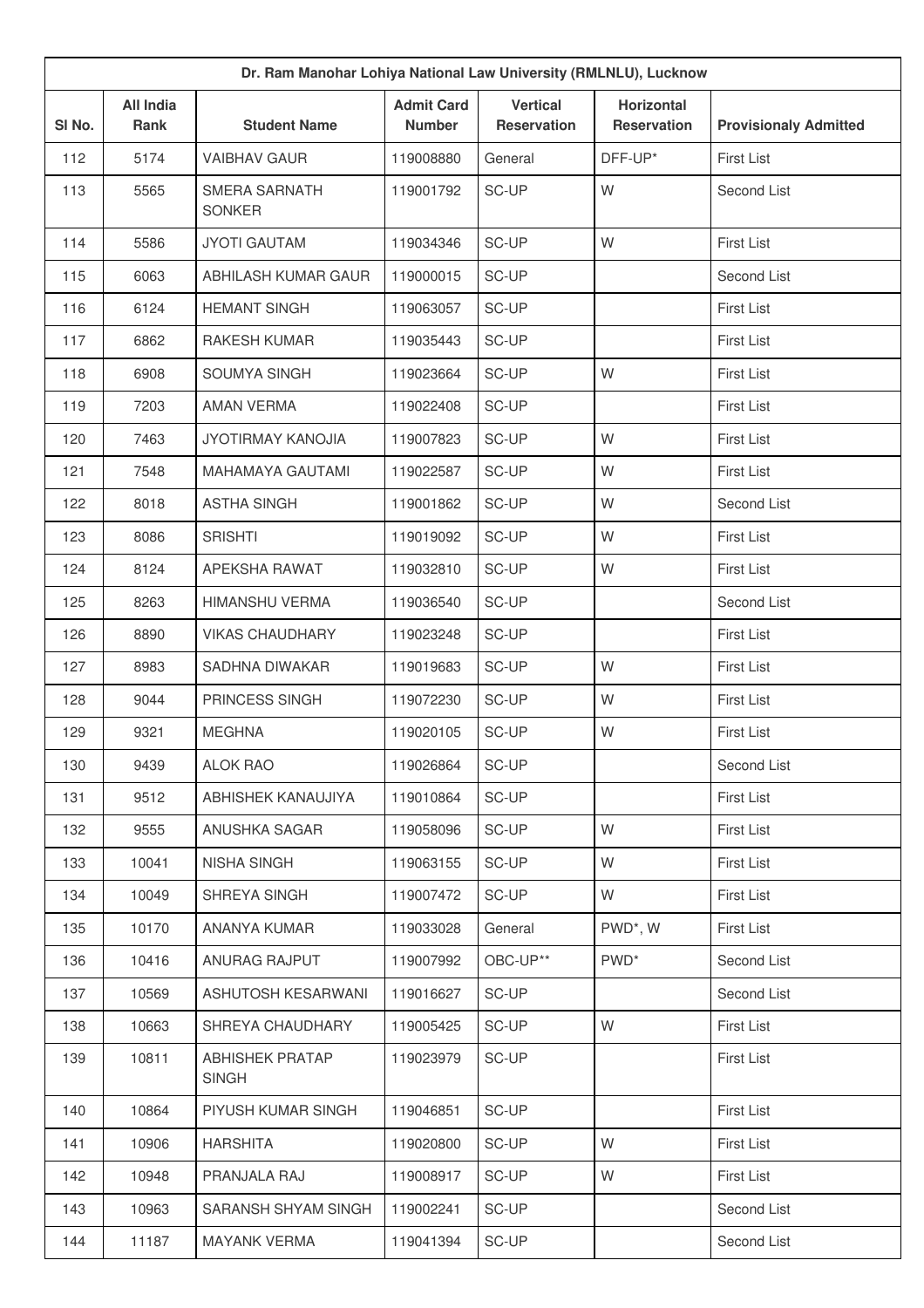| Dr. Ram Manohar Lohiya National Law University (RMLNLU), Lucknow |                          |                                        |                                    |                                       |                                         |                              |  |
|------------------------------------------------------------------|--------------------------|----------------------------------------|------------------------------------|---------------------------------------|-----------------------------------------|------------------------------|--|
| SI No.                                                           | <b>All India</b><br>Rank | <b>Student Name</b>                    | <b>Admit Card</b><br><b>Number</b> | <b>Vertical</b><br><b>Reservation</b> | <b>Horizontal</b><br><b>Reservation</b> | <b>Provisionaly Admitted</b> |  |
| 112                                                              | 5174                     | <b>VAIBHAV GAUR</b>                    | 119008880                          | General                               | DFF-UP*                                 | <b>First List</b>            |  |
| 113                                                              | 5565                     | <b>SMERA SARNATH</b><br><b>SONKER</b>  | 119001792                          | SC-UP                                 | W                                       | Second List                  |  |
| 114                                                              | 5586                     | <b>JYOTI GAUTAM</b>                    | 119034346                          | SC-UP                                 | W                                       | First List                   |  |
| 115                                                              | 6063                     | ABHILASH KUMAR GAUR                    | 119000015                          | SC-UP                                 |                                         | Second List                  |  |
| 116                                                              | 6124                     | <b>HEMANT SINGH</b>                    | 119063057                          | SC-UP                                 |                                         | <b>First List</b>            |  |
| 117                                                              | 6862                     | <b>RAKESH KUMAR</b>                    | 119035443                          | SC-UP                                 |                                         | <b>First List</b>            |  |
| 118                                                              | 6908                     | SOUMYA SINGH                           | 119023664                          | SC-UP                                 | W                                       | <b>First List</b>            |  |
| 119                                                              | 7203                     | <b>AMAN VERMA</b>                      | 119022408                          | SC-UP                                 |                                         | <b>First List</b>            |  |
| 120                                                              | 7463                     | <b>JYOTIRMAY KANOJIA</b>               | 119007823                          | SC-UP                                 | W                                       | <b>First List</b>            |  |
| 121                                                              | 7548                     | <b>MAHAMAYA GAUTAMI</b>                | 119022587                          | SC-UP                                 | W                                       | <b>First List</b>            |  |
| 122                                                              | 8018                     | <b>ASTHA SINGH</b>                     | 119001862                          | SC-UP                                 | W                                       | Second List                  |  |
| 123                                                              | 8086                     | <b>SRISHTI</b>                         | 119019092                          | SC-UP                                 | W                                       | <b>First List</b>            |  |
| 124                                                              | 8124                     | APEKSHA RAWAT                          | 119032810                          | SC-UP                                 | W                                       | <b>First List</b>            |  |
| 125                                                              | 8263                     | <b>HIMANSHU VERMA</b>                  | 119036540                          | SC-UP                                 |                                         | Second List                  |  |
| 126                                                              | 8890                     | <b>VIKAS CHAUDHARY</b>                 | 119023248                          | SC-UP                                 |                                         | <b>First List</b>            |  |
| 127                                                              | 8983                     | SADHNA DIWAKAR                         | 119019683                          | SC-UP                                 | W                                       | <b>First List</b>            |  |
| 128                                                              | 9044                     | PRINCESS SINGH                         | 119072230                          | SC-UP                                 | W                                       | <b>First List</b>            |  |
| 129                                                              | 9321                     | <b>MEGHNA</b>                          | 119020105                          | SC-UP                                 | W                                       | <b>First List</b>            |  |
| 130                                                              | 9439                     | <b>ALOK RAO</b>                        | 119026864                          | SC-UP                                 |                                         | Second List                  |  |
| 131                                                              | 9512                     | ABHISHEK KANAUJIYA                     | 119010864                          | SC-UP                                 |                                         | <b>First List</b>            |  |
| 132                                                              | 9555                     | ANUSHKA SAGAR                          | 119058096                          | SC-UP                                 | W                                       | <b>First List</b>            |  |
| 133                                                              | 10041                    | <b>NISHA SINGH</b>                     | 119063155                          | SC-UP                                 | W                                       | First List                   |  |
| 134                                                              | 10049                    | SHREYA SINGH                           | 119007472                          | SC-UP                                 | W                                       | <b>First List</b>            |  |
| 135                                                              | 10170                    | ANANYA KUMAR                           | 119033028                          | General                               | PWD*, W                                 | <b>First List</b>            |  |
| 136                                                              | 10416                    | ANURAG RAJPUT                          | 119007992                          | OBC-UP**                              | PWD <sup>*</sup>                        | Second List                  |  |
| 137                                                              | 10569                    | ASHUTOSH KESARWANI                     | 119016627                          | SC-UP                                 |                                         | Second List                  |  |
| 138                                                              | 10663                    | SHREYA CHAUDHARY                       | 119005425                          | SC-UP                                 | W                                       | <b>First List</b>            |  |
| 139                                                              | 10811                    | <b>ABHISHEK PRATAP</b><br><b>SINGH</b> | 119023979                          | SC-UP                                 |                                         | <b>First List</b>            |  |
| 140                                                              | 10864                    | PIYUSH KUMAR SINGH                     | 119046851                          | SC-UP                                 |                                         | <b>First List</b>            |  |
| 141                                                              | 10906                    | <b>HARSHITA</b>                        | 119020800                          | SC-UP                                 | W                                       | <b>First List</b>            |  |
| 142                                                              | 10948                    | PRANJALA RAJ                           | 119008917                          | SC-UP                                 | W                                       | <b>First List</b>            |  |
| 143                                                              | 10963                    | SARANSH SHYAM SINGH                    | 119002241                          | SC-UP                                 |                                         | Second List                  |  |
| 144                                                              | 11187                    | <b>MAYANK VERMA</b>                    | 119041394                          | SC-UP                                 |                                         | Second List                  |  |